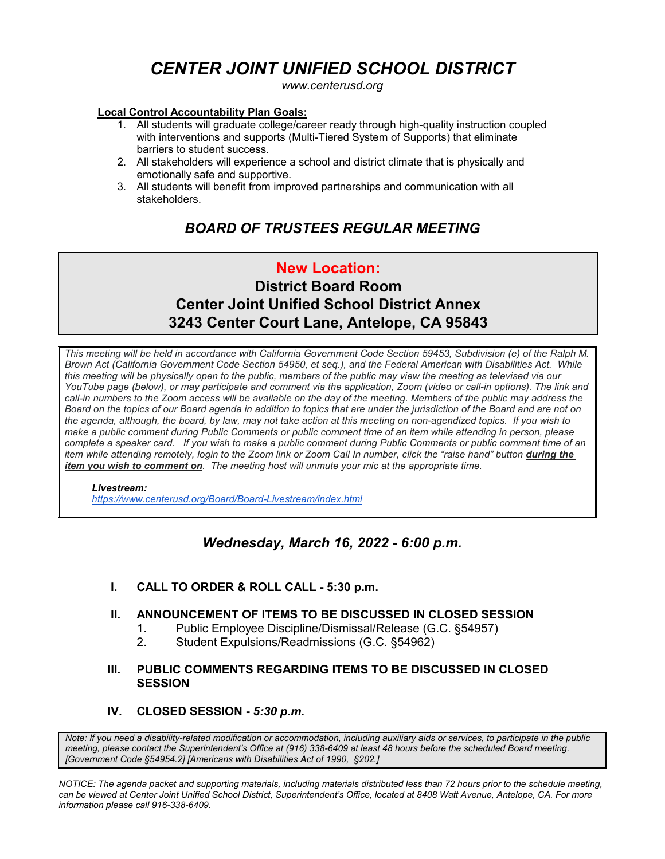# *CENTER JOINT UNIFIED SCHOOL DISTRICT*

*www.centerusd.org*

#### **Local Control Accountability Plan Goals:**

- 1. All students will graduate college/career ready through high-quality instruction coupled with interventions and supports (Multi-Tiered System of Supports) that eliminate barriers to student success.
- 2. All stakeholders will experience a school and district climate that is physically and emotionally safe and supportive.
- 3. All students will benefit from improved partnerships and communication with all stakeholders.

# *BOARD OF TRUSTEES REGULAR MEETING*

# **New Location: District Board Room Center Joint Unified School District Annex 3243 Center Court Lane, Antelope, CA 95843**

*This meeting will be held in accordance with California Government Code Section 59453, Subdivision (e) of the Ralph M. Brown Act (California Government Code Section 54950, et seq.), and the Federal American with Disabilities Act. While this meeting will be physically open to the public, members of the public may view the meeting as televised via our YouTube page (below), or may participate and comment via the application, Zoom (video or call-in options). The link and call-in numbers to the Zoom access will be available on the day of the meeting. Members of the public may address the Board on the topics of our Board agenda in addition to topics that are under the jurisdiction of the Board and are not on the agenda, although, the board, by law, may not take action at this meeting on non-agendized topics. If you wish to make a public comment during Public Comments or public comment time of an item while attending in person, please complete a speaker card. If you wish to make a public comment during Public Comments or public comment time of an item while attending remotely, login to the Zoom link or Zoom Call In number, click the "raise hand" button during the item you wish to comment on. The meeting host will unmute your mic at the appropriate time.*

#### *Livestream:*

 *<https://www.centerusd.org/Board/Board-Livestream/index.html>*

## *Wednesday, March 16, 2022 - 6:00 p.m.*

#### **I. CALL TO ORDER & ROLL CALL - 5:30 p.m.**

#### **II. ANNOUNCEMENT OF ITEMS TO BE DISCUSSED IN CLOSED SESSION**

- 1. Public Employee Discipline/Dismissal/Release (G.C. §54957)
- 2. Student Expulsions/Readmissions (G.C. §54962)

#### **III. PUBLIC COMMENTS REGARDING ITEMS TO BE DISCUSSED IN CLOSED SESSION**

#### **IV. CLOSED SESSION -** *5:30 p.m.*

*Note: If you need a disability-related modification or accommodation, including auxiliary aids or services, to participate in the public meeting, please contact the Superintendent's Office at (916) 338-6409 at least 48 hours before the scheduled Board meeting. [Government Code §54954.2] [Americans with Disabilities Act of 1990, §202.]*

*NOTICE: The agenda packet and supporting materials, including materials distributed less than 72 hours prior to the schedule meeting, can be viewed at Center Joint Unified School District, Superintendent's Office, located at 8408 Watt Avenue, Antelope, CA. For more information please call 916-338-6409.*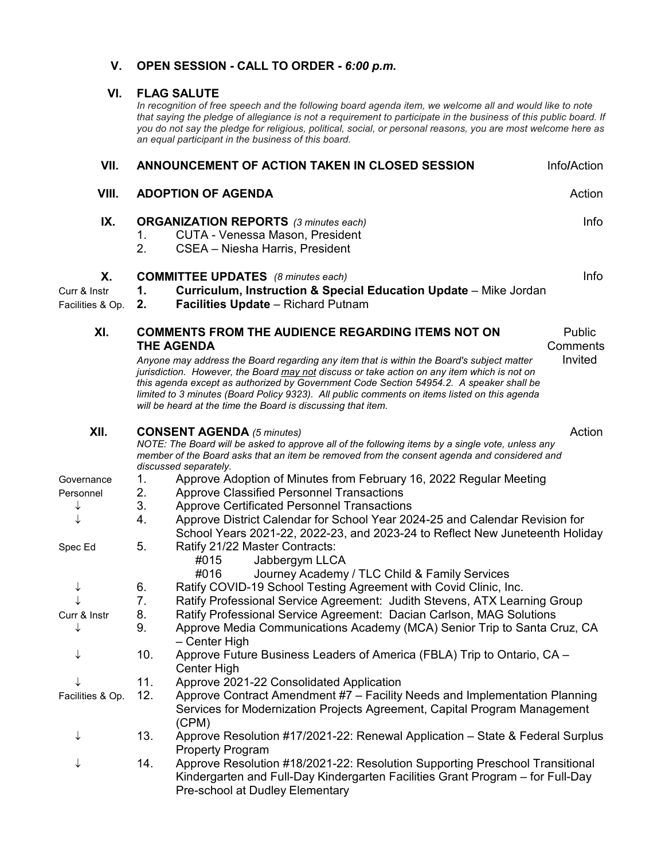### **V. OPEN SESSION - CALL TO ORDER -** *6:00 p.m.*

#### **VI. FLAG SALUTE**

*In recognition of free speech and the following board agenda item, we welcome all and would like to note that saying the pledge of allegiance is not a requirement to participate in the business of this public board. If you do not say the pledge for religious, political, social, or personal reasons, you are most welcome here as an equal participant in the business of this board.*

| VII.                                   | ANNOUNCEMENT OF ACTION TAKEN IN CLOSED SESSION                                                                                                                                                                                                                                                                                                                                                                                                                                                                                                                        |                                                                                                                                                                                                                                                                                                                                             | Info/Action |  |  |
|----------------------------------------|-----------------------------------------------------------------------------------------------------------------------------------------------------------------------------------------------------------------------------------------------------------------------------------------------------------------------------------------------------------------------------------------------------------------------------------------------------------------------------------------------------------------------------------------------------------------------|---------------------------------------------------------------------------------------------------------------------------------------------------------------------------------------------------------------------------------------------------------------------------------------------------------------------------------------------|-------------|--|--|
| VIII.                                  | Action<br><b>ADOPTION OF AGENDA</b>                                                                                                                                                                                                                                                                                                                                                                                                                                                                                                                                   |                                                                                                                                                                                                                                                                                                                                             |             |  |  |
| IX.                                    | 1.<br>2.                                                                                                                                                                                                                                                                                                                                                                                                                                                                                                                                                              | <b>ORGANIZATION REPORTS</b> (3 minutes each)<br>Info<br><b>CUTA - Venessa Mason, President</b><br>CSEA - Niesha Harris, President                                                                                                                                                                                                           |             |  |  |
| Х.<br>Curr & Instr<br>Facilities & Op. | <b>COMMITTEE UPDATES</b> (8 minutes each)<br>Info<br>Curriculum, Instruction & Special Education Update - Mike Jordan<br>1.<br><b>Facilities Update - Richard Putnam</b><br>2.                                                                                                                                                                                                                                                                                                                                                                                        |                                                                                                                                                                                                                                                                                                                                             |             |  |  |
| XI.                                    | <b>COMMENTS FROM THE AUDIENCE REGARDING ITEMS NOT ON</b><br>Public<br><b>THE AGENDA</b><br>Comments<br>Invited<br>Anyone may address the Board regarding any item that is within the Board's subject matter<br>jurisdiction. However, the Board may not discuss or take action on any item which is not on<br>this agenda except as authorized by Government Code Section 54954.2. A speaker shall be<br>limited to 3 minutes (Board Policy 9323). All public comments on items listed on this agenda<br>will be heard at the time the Board is discussing that item. |                                                                                                                                                                                                                                                                                                                                             |             |  |  |
| XII.                                   | Action<br><b>CONSENT AGENDA</b> (5 minutes)<br>NOTE: The Board will be asked to approve all of the following items by a single vote, unless any<br>member of the Board asks that an item be removed from the consent agenda and considered and<br>discussed separately.                                                                                                                                                                                                                                                                                               |                                                                                                                                                                                                                                                                                                                                             |             |  |  |
| Governance<br>Personnel<br>↓           | 1.<br>2.<br>3.<br>4.                                                                                                                                                                                                                                                                                                                                                                                                                                                                                                                                                  | Approve Adoption of Minutes from February 16, 2022 Regular Meeting<br><b>Approve Classified Personnel Transactions</b><br><b>Approve Certificated Personnel Transactions</b><br>Approve District Calendar for School Year 2024-25 and Calendar Revision for<br>School Years 2021-22, 2022-23, and 2023-24 to Reflect New Juneteenth Holiday |             |  |  |
| Spec Ed                                | 5.                                                                                                                                                                                                                                                                                                                                                                                                                                                                                                                                                                    | Ratify 21/22 Master Contracts:<br>Jabbergym LLCA<br>#015<br>Journey Academy / TLC Child & Family Services<br>#016                                                                                                                                                                                                                           |             |  |  |
| ↓                                      | 6.<br>7.                                                                                                                                                                                                                                                                                                                                                                                                                                                                                                                                                              | Ratify COVID-19 School Testing Agreement with Covid Clinic, Inc.<br>Ratify Professional Service Agreement: Judith Stevens, ATX Learning Group                                                                                                                                                                                               |             |  |  |
| Curr & Instr<br>↓                      | 8.<br>Ratify Professional Service Agreement: Dacian Carlson, MAG Solutions<br>9.<br>Approve Media Communications Academy (MCA) Senior Trip to Santa Cruz, CA<br>- Center High                                                                                                                                                                                                                                                                                                                                                                                         |                                                                                                                                                                                                                                                                                                                                             |             |  |  |
| ↓                                      | 10.<br>Approve Future Business Leaders of America (FBLA) Trip to Ontario, CA -<br><b>Center High</b>                                                                                                                                                                                                                                                                                                                                                                                                                                                                  |                                                                                                                                                                                                                                                                                                                                             |             |  |  |
| ↓<br>Facilities & Op.                  | 11.<br>Approve 2021-22 Consolidated Application<br>12.<br>Approve Contract Amendment #7 - Facility Needs and Implementation Planning<br>Services for Modernization Projects Agreement, Capital Program Management<br>(CPM)                                                                                                                                                                                                                                                                                                                                            |                                                                                                                                                                                                                                                                                                                                             |             |  |  |
| ↓                                      | 13.<br>Approve Resolution #17/2021-22: Renewal Application - State & Federal Surplus<br><b>Property Program</b>                                                                                                                                                                                                                                                                                                                                                                                                                                                       |                                                                                                                                                                                                                                                                                                                                             |             |  |  |
|                                        | Approve Resolution #18/2021-22: Resolution Supporting Preschool Transitional<br>14.<br>Kindergarten and Full-Day Kindergarten Facilities Grant Program – for Full-Day<br>Pre-school at Dudley Elementary                                                                                                                                                                                                                                                                                                                                                              |                                                                                                                                                                                                                                                                                                                                             |             |  |  |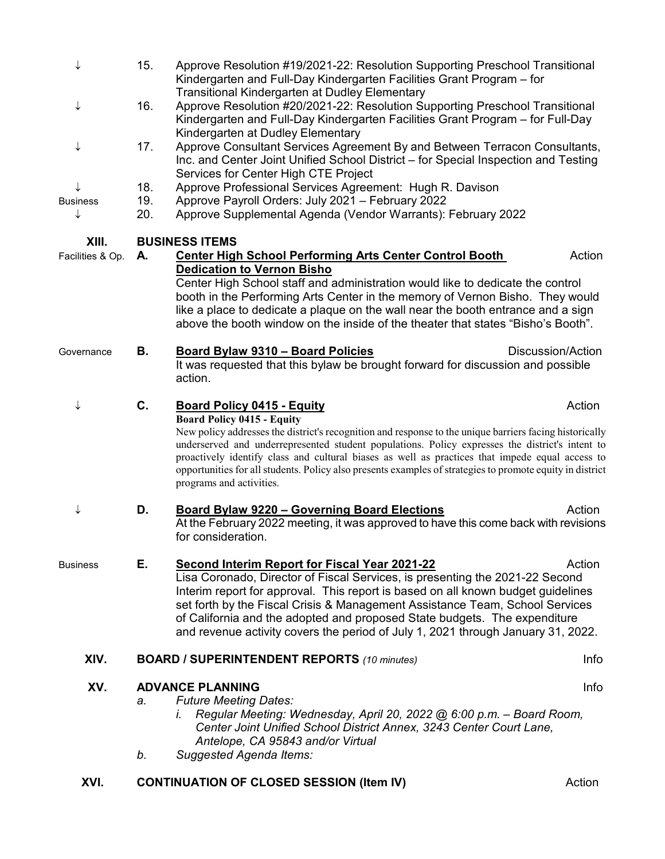| XVI.                      |            | <b>CONTINUATION OF CLOSED SESSION (Item IV)</b>                                                                                                                                                                                                                                                                                                                                                                                                                                             | Action            |  |
|---------------------------|------------|---------------------------------------------------------------------------------------------------------------------------------------------------------------------------------------------------------------------------------------------------------------------------------------------------------------------------------------------------------------------------------------------------------------------------------------------------------------------------------------------|-------------------|--|
| XV.                       | a.<br>b.   | <b>ADVANCE PLANNING</b><br>Info<br><b>Future Meeting Dates:</b><br>Regular Meeting: Wednesday, April 20, 2022 @ 6:00 p.m. - Board Room,<br>I.<br>Center Joint Unified School District Annex, 3243 Center Court Lane,<br>Antelope, CA 95843 and/or Virtual<br>Suggested Agenda Items:                                                                                                                                                                                                        |                   |  |
| XIV.                      |            | <b>BOARD / SUPERINTENDENT REPORTS (10 minutes)</b>                                                                                                                                                                                                                                                                                                                                                                                                                                          | Info              |  |
| <b>Business</b>           | Е.         | <b>Second Interim Report for Fiscal Year 2021-22</b><br>Lisa Coronado, Director of Fiscal Services, is presenting the 2021-22 Second<br>Interim report for approval. This report is based on all known budget guidelines<br>set forth by the Fiscal Crisis & Management Assistance Team, School Services<br>of California and the adopted and proposed State budgets. The expenditure<br>and revenue activity covers the period of July 1, 2021 through January 31, 2022.                   | Action            |  |
| ↓                         | D.         | <b>Board Bylaw 9220 - Governing Board Elections</b><br>At the February 2022 meeting, it was approved to have this come back with revisions<br>for consideration.                                                                                                                                                                                                                                                                                                                            | Action            |  |
|                           |            | <b>Board Policy 0415 - Equity</b><br>New policy addresses the district's recognition and response to the unique barriers facing historically<br>underserved and underrepresented student populations. Policy expresses the district's intent to<br>proactively identify class and cultural biases as well as practices that impede equal access to<br>opportunities for all students. Policy also presents examples of strategies to promote equity in district<br>programs and activities. |                   |  |
| ↓                         | C.         | action.<br><b>Board Policy 0415 - Equity</b>                                                                                                                                                                                                                                                                                                                                                                                                                                                | Action            |  |
| Governance                | В.         | <b>Board Bylaw 9310 - Board Policies</b><br>It was requested that this bylaw be brought forward for discussion and possible                                                                                                                                                                                                                                                                                                                                                                 | Discussion/Action |  |
|                           |            | Center High School staff and administration would like to dedicate the control<br>booth in the Performing Arts Center in the memory of Vernon Bisho. They would<br>like a place to dedicate a plaque on the wall near the booth entrance and a sign<br>above the booth window on the inside of the theater that states "Bisho's Booth".                                                                                                                                                     |                   |  |
| XIII.<br>Facilities & Op. | А.         | <b>BUSINESS ITEMS</b><br><b>Center High School Performing Arts Center Control Booth</b><br><b>Dedication to Vernon Bisho</b>                                                                                                                                                                                                                                                                                                                                                                | Action            |  |
|                           |            |                                                                                                                                                                                                                                                                                                                                                                                                                                                                                             |                   |  |
| <b>Business</b><br>↓      | 19.<br>20. | Approve Payroll Orders: July 2021 - February 2022<br>Approve Supplemental Agenda (Vendor Warrants): February 2022                                                                                                                                                                                                                                                                                                                                                                           |                   |  |
|                           | 18.        | Inc. and Center Joint Unified School District – for Special Inspection and Testing<br>Services for Center High CTE Project<br>Approve Professional Services Agreement: Hugh R. Davison                                                                                                                                                                                                                                                                                                      |                   |  |
| ↓                         | 17.        | Kindergarten at Dudley Elementary<br>Approve Consultant Services Agreement By and Between Terracon Consultants,                                                                                                                                                                                                                                                                                                                                                                             |                   |  |
| ↓                         | 16.        | <b>Transitional Kindergarten at Dudley Elementary</b><br>Approve Resolution #20/2021-22: Resolution Supporting Preschool Transitional<br>Kindergarten and Full-Day Kindergarten Facilities Grant Program - for Full-Day                                                                                                                                                                                                                                                                     |                   |  |
| ↓                         | 15.        | Approve Resolution #19/2021-22: Resolution Supporting Preschool Transitional<br>Kindergarten and Full-Day Kindergarten Facilities Grant Program - for                                                                                                                                                                                                                                                                                                                                       |                   |  |